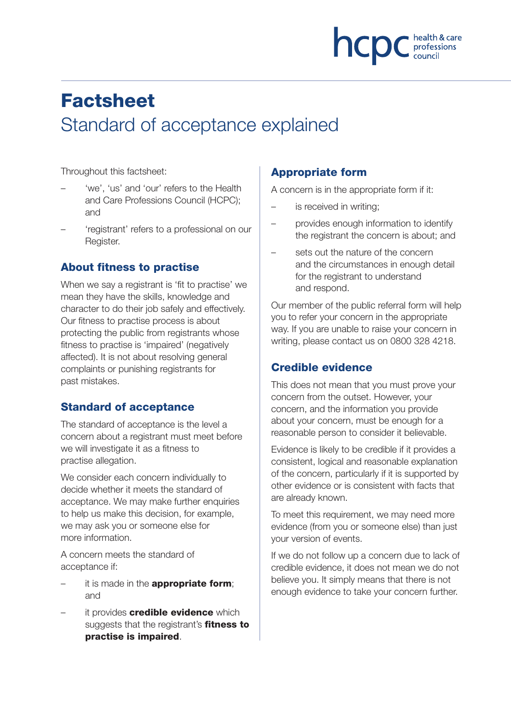

# **Factsheet** Standard of acceptance explained

Throughout this factsheet:

- 'we', 'us' and 'our' refers to the Health and Care Professions Council (HCPC); and
- 'registrant' refers to a professional on our Register.

## About fitness to practise

When we say a registrant is 'fit to practise' we mean they have the skills, knowledge and character to do their job safely and effectively. Our fitness to practise process is about protecting the public from registrants whose fitness to practise is 'impaired' (negatively affected). It is not about resolving general complaints or punishing registrants for past mistakes.

## **Standard of acceptance**

The standard of acceptance is the level a concern about a registrant must meet before we will investigate it as a fitness to practise allegation.

We consider each concern individually to decide whether it meets the standard of acceptance. We may make further enquiries to help us make this decision, for example, we may ask you or someone else for more information.

A concern meets the standard of acceptance if:

- it is made in the **appropriate form**; and
- it provides **credible evidence** which suggests that the registrant's fitness to practise is impaired.

# Appropriate form

A concern is in the appropriate form if it:

- is received in writing;
- provides enough information to identify the registrant the concern is about; and
- sets out the nature of the concern and the circumstances in enough detail for the registrant to understand and respond.

Our member of the public referral form will help you to refer your concern in the appropriate way. If you are unable to raise your concern in writing, please contact us on 0800 328 4218.

## Credible evidence

This does not mean that you must prove your concern from the outset. However, your concern, and the information you provide about your concern, must be enough for a reasonable person to consider it believable.

Evidence is likely to be credible if it provides a consistent, logical and reasonable explanation of the concern, particularly if it is supported by other evidence or is consistent with facts that are already known.

To meet this requirement, we may need more evidence (from you or someone else) than just your version of events.

If we do not follow up a concern due to lack of credible evidence, it does not mean we do not believe you. It simply means that there is not enough evidence to take your concern further.